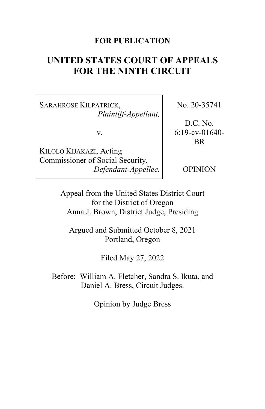## **FOR PUBLICATION**

# **UNITED STATES COURT OF APPEALS FOR THE NINTH CIRCUIT**

SARAHROSE KILPATRICK, *Plaintiff-Appellant,*

v.

KILOLO KIJAKAZI, Acting Commissioner of Social Security, *Defendant-Appellee.* No. 20-35741

D.C. No. 6:19-cv-01640- BR

OPINION

Appeal from the United States District Court for the District of Oregon Anna J. Brown, District Judge, Presiding

Argued and Submitted October 8, 2021 Portland, Oregon

Filed May 27, 2022

Before: William A. Fletcher, Sandra S. Ikuta, and Daniel A. Bress, Circuit Judges.

Opinion by Judge Bress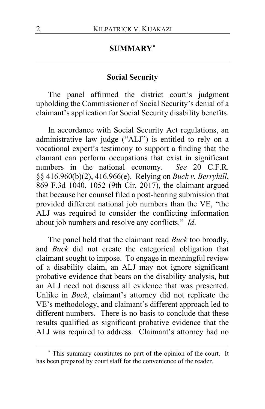## **SUMMARY[\\*](#page-1-0)**

### **Social Security**

The panel affirmed the district court's judgment upholding the Commissioner of Social Security's denial of a claimant's application for Social Security disability benefits.

In accordance with Social Security Act regulations, an administrative law judge ("ALJ") is entitled to rely on a vocational expert's testimony to support a finding that the clamant can perform occupations that exist in significant numbers in the national economy. *See* 20 C.F.R. §§ 416.960(b)(2), 416.966(e). Relying on *Buck v. Berryhill*, 869 F.3d 1040, 1052 (9th Cir. 2017), the claimant argued that because her counsel filed a post-hearing submission that provided different national job numbers than the VE, "the ALJ was required to consider the conflicting information about job numbers and resolve any conflicts." *Id*.

The panel held that the claimant read *Buck* too broadly, and *Buck* did not create the categorical obligation that claimant sought to impose. To engage in meaningful review of a disability claim, an ALJ may not ignore significant probative evidence that bears on the disability analysis, but an ALJ need not discuss all evidence that was presented. Unlike in *Buck*, claimant's attorney did not replicate the VE's methodology, and claimant's different approach led to different numbers. There is no basis to conclude that these results qualified as significant probative evidence that the ALJ was required to address. Claimant's attorney had no

<span id="page-1-0"></span>**<sup>\*</sup>** This summary constitutes no part of the opinion of the court. It has been prepared by court staff for the convenience of the reader.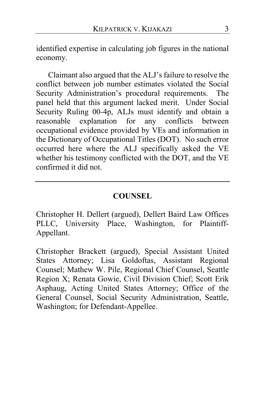identified expertise in calculating job figures in the national economy.

Claimant also argued that the ALJ's failure to resolve the conflict between job number estimates violated the Social Security Administration's procedural requirements. The panel held that this argument lacked merit. Under Social Security Ruling 00-4p, ALJs must identify and obtain a reasonable explanation for any conflicts between occupational evidence provided by VEs and information in the Dictionary of Occupational Titles (DOT). No such error occurred here where the ALJ specifically asked the VE whether his testimony conflicted with the DOT, and the VE confirmed it did not.

## **COUNSEL**

Christopher H. Dellert (argued), Dellert Baird Law Offices PLLC, University Place, Washington, for Plaintiff-Appellant.

Christopher Brackett (argued), Special Assistant United States Attorney; Lisa Goldoftas, Assistant Regional Counsel; Mathew W. Pile, Regional Chief Counsel, Seattle Region X; Renata Gowie, Civil Division Chief; Scott Erik Asphaug, Acting United States Attorney; Office of the General Counsel, Social Security Administration, Seattle, Washington; for Defendant-Appellee.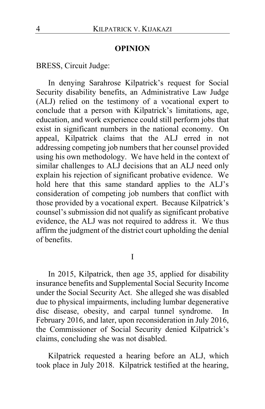#### **OPINION**

BRESS, Circuit Judge:

In denying Sarahrose Kilpatrick's request for Social Security disability benefits, an Administrative Law Judge (ALJ) relied on the testimony of a vocational expert to conclude that a person with Kilpatrick's limitations, age, education, and work experience could still perform jobs that exist in significant numbers in the national economy. On appeal, Kilpatrick claims that the ALJ erred in not addressing competing job numbers that her counsel provided using his own methodology. We have held in the context of similar challenges to ALJ decisions that an ALJ need only explain his rejection of significant probative evidence. We hold here that this same standard applies to the ALJ's consideration of competing job numbers that conflict with those provided by a vocational expert. Because Kilpatrick's counsel's submission did not qualify as significant probative evidence, the ALJ was not required to address it. We thus affirm the judgment of the district court upholding the denial of benefits.

I

In 2015, Kilpatrick, then age 35, applied for disability insurance benefits and Supplemental Social Security Income under the Social Security Act. She alleged she was disabled due to physical impairments, including lumbar degenerative disc disease, obesity, and carpal tunnel syndrome. In February 2016, and later, upon reconsideration in July 2016, the Commissioner of Social Security denied Kilpatrick's claims, concluding she was not disabled.

Kilpatrick requested a hearing before an ALJ, which took place in July 2018. Kilpatrick testified at the hearing,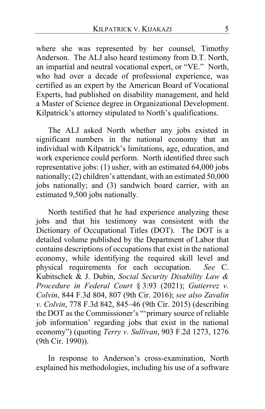where she was represented by her counsel, Timothy Anderson. The ALJ also heard testimony from D.T. North, an impartial and neutral vocational expert, or "VE." North, who had over a decade of professional experience, was certified as an expert by the American Board of Vocational Experts, had published on disability management, and held a Master of Science degree in Organizational Development. Kilpatrick's attorney stipulated to North's qualifications.

The ALJ asked North whether any jobs existed in significant numbers in the national economy that an individual with Kilpatrick's limitations, age, education, and work experience could perform. North identified three such representative jobs: (1) usher, with an estimated 64,000 jobs nationally; (2) children's attendant, with an estimated 50,000 jobs nationally; and (3) sandwich board carrier, with an estimated 9,500 jobs nationally.

North testified that he had experience analyzing these jobs and that his testimony was consistent with the Dictionary of Occupational Titles (DOT). The DOT is a detailed volume published by the Department of Labor that contains descriptions of occupations that exist in the national economy, while identifying the required skill level and physical requirements for each occupation. *See* C. Kubitschek & J. Dubin, *Social Security Disability Law & Procedure in Federal Court* § 3:93 (2021); *Gutierrez v. Colvin*, 844 F.3d 804, 807 (9th Cir. 2016); *see also Zavalin v. Colvin*, 778 F.3d 842, 845–46 (9th Cir. 2015) (describing the DOT as the Commissioner's "'primary source of reliable job information' regarding jobs that exist in the national economy") (quoting *Terry v. Sullivan*, 903 F.2d 1273, 1276 (9th Cir. 1990)).

In response to Anderson's cross-examination, North explained his methodologies, including his use of a software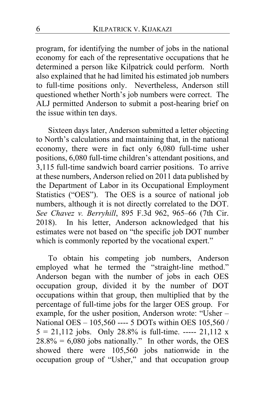program, for identifying the number of jobs in the national economy for each of the representative occupations that he determined a person like Kilpatrick could perform. North also explained that he had limited his estimated job numbers to full-time positions only. Nevertheless, Anderson still questioned whether North's job numbers were correct. The ALJ permitted Anderson to submit a post-hearing brief on the issue within ten days.

Sixteen days later, Anderson submitted a letter objecting to North's calculations and maintaining that, in the national economy, there were in fact only 6,080 full-time usher positions, 6,080 full-time children's attendant positions, and 3,115 full-time sandwich board carrier positions. To arrive at these numbers, Anderson relied on 2011 data published by the Department of Labor in its Occupational Employment Statistics ("OES"). The OES is a source of national job numbers, although it is not directly correlated to the DOT. *See Chavez v. Berryhill*, 895 F.3d 962, 965–66 (7th Cir. 2018). In his letter, Anderson acknowledged that his estimates were not based on "the specific job DOT number which is commonly reported by the vocational expert."

To obtain his competing job numbers, Anderson employed what he termed the "straight-line method." Anderson began with the number of jobs in each OES occupation group, divided it by the number of DOT occupations within that group, then multiplied that by the percentage of full-time jobs for the larger OES group. For example, for the usher position, Anderson wrote: "Usher – National OES - 105,560 ---- 5 DOTs within OES 105,560 /  $5 = 21,112$  jobs. Only 28.8% is full-time. ----- 21,112 x  $28.8\% = 6,080$  jobs nationally." In other words, the OES showed there were 105,560 jobs nationwide in the occupation group of "Usher," and that occupation group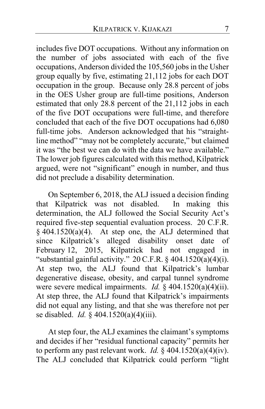includes five DOT occupations. Without any information on the number of jobs associated with each of the five occupations, Anderson divided the 105,560 jobs in the Usher group equally by five, estimating 21,112 jobs for each DOT occupation in the group. Because only 28.8 percent of jobs in the OES Usher group are full-time positions, Anderson estimated that only 28.8 percent of the 21,112 jobs in each of the five DOT occupations were full-time, and therefore concluded that each of the five DOT occupations had 6,080 full-time jobs. Anderson acknowledged that his "straightline method" "may not be completely accurate," but claimed it was "the best we can do with the data we have available." The lower job figures calculated with this method, Kilpatrick argued, were not "significant" enough in number, and thus did not preclude a disability determination.

On September 6, 2018, the ALJ issued a decision finding that Kilpatrick was not disabled. In making this determination, the ALJ followed the Social Security Act's required five-step sequential evaluation process. 20 C.F.R.  $§$  404.1520(a)(4). At step one, the ALJ determined that since Kilpatrick's alleged disability onset date of February 12, 2015, Kilpatrick had not engaged in "substantial gainful activity." 20 C.F.R. § 404.1520(a)(4)(i). At step two, the ALJ found that Kilpatrick's lumbar degenerative disease, obesity, and carpal tunnel syndrome were severe medical impairments. *Id.* § 404.1520(a)(4)(ii). At step three, the ALJ found that Kilpatrick's impairments did not equal any listing, and that she was therefore not per se disabled. *Id.* § 404.1520(a)(4)(iii).

At step four, the ALJ examines the claimant's symptoms and decides if her "residual functional capacity" permits her to perform any past relevant work. *Id.*  $\frac{2}{3}$  404.1520(a)(4)(iv). The ALJ concluded that Kilpatrick could perform "light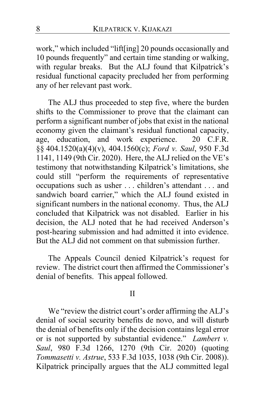work," which included "lift[ing] 20 pounds occasionally and 10 pounds frequently" and certain time standing or walking, with regular breaks. But the ALJ found that Kilpatrick's residual functional capacity precluded her from performing any of her relevant past work.

The ALJ thus proceeded to step five, where the burden shifts to the Commissioner to prove that the claimant can perform a significant number of jobs that exist in the national economy given the claimant's residual functional capacity, age, education, and work experience. 20 C.F.R. §§ 404.1520(a)(4)(v), 404.1560(c); *Ford v. Saul*, 950 F.3d 1141, 1149 (9th Cir. 2020). Here, the ALJ relied on the VE's testimony that notwithstanding Kilpatrick's limitations, she could still "perform the requirements of representative occupations such as usher . . . children's attendant . . . and sandwich board carrier," which the ALJ found existed in significant numbers in the national economy. Thus, the ALJ concluded that Kilpatrick was not disabled. Earlier in his decision, the ALJ noted that he had received Anderson's post-hearing submission and had admitted it into evidence. But the ALJ did not comment on that submission further.

The Appeals Council denied Kilpatrick's request for review. The district court then affirmed the Commissioner's denial of benefits. This appeal followed.

#### II

We "review the district court's order affirming the ALJ's denial of social security benefits de novo, and will disturb the denial of benefits only if the decision contains legal error or is not supported by substantial evidence." *Lambert v. Saul*, 980 F.3d 1266, 1270 (9th Cir. 2020) (quoting *Tommasetti v. Astrue*, 533 F.3d 1035, 1038 (9th Cir. 2008)). Kilpatrick principally argues that the ALJ committed legal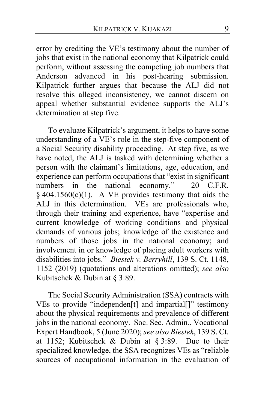error by crediting the VE's testimony about the number of jobs that exist in the national economy that Kilpatrick could perform, without assessing the competing job numbers that Anderson advanced in his post-hearing submission. Kilpatrick further argues that because the ALJ did not resolve this alleged inconsistency, we cannot discern on appeal whether substantial evidence supports the ALJ's determination at step five.

To evaluate Kilpatrick's argument, it helps to have some understanding of a VE's role in the step-five component of a Social Security disability proceeding. At step five, as we have noted, the ALJ is tasked with determining whether a person with the claimant's limitations, age, education, and experience can perform occupations that "exist in significant numbers in the national economy." 20 C.F.R.  $§$  404.1560(c)(1). A VE provides testimony that aids the ALJ in this determination. VEs are professionals who, through their training and experience, have "expertise and current knowledge of working conditions and physical demands of various jobs; knowledge of the existence and numbers of those jobs in the national economy; and involvement in or knowledge of placing adult workers with disabilities into jobs." *Biestek v. Berryhill*, 139 S. Ct. 1148, 1152 (2019) (quotations and alterations omitted); *see also*  Kubitschek & Dubin at § 3:89.

The Social Security Administration (SSA) contracts with VEs to provide "independen[t] and impartial[]" testimony about the physical requirements and prevalence of different jobs in the national economy. Soc. Sec. Admin., Vocational Expert Handbook, 5 (June 2020); *see also Biestek*, 139 S. Ct. at 1152; Kubitschek & Dubin at § 3:89. Due to their specialized knowledge, the SSA recognizes VEs as "reliable sources of occupational information in the evaluation of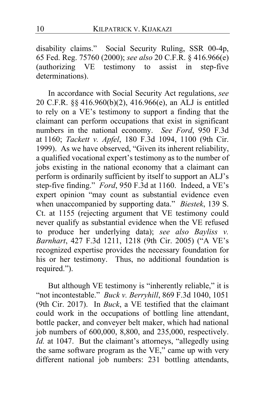disability claims." Social Security Ruling, SSR 00-4p, 65 Fed. Reg. 75760 (2000); *see also* 20 C.F.R. § 416.966(e) (authorizing VE testimony to assist in step-five determinations).

In accordance with Social Security Act regulations, *see*  20 C.F.R. §§ 416.960(b)(2), 416.966(e), an ALJ is entitled to rely on a VE's testimony to support a finding that the claimant can perform occupations that exist in significant numbers in the national economy. *See Ford*, 950 F.3d at 1160; *Tackett v. Apfel*, 180 F.3d 1094, 1100 (9th Cir. 1999). As we have observed, "Given its inherent reliability, a qualified vocational expert's testimony as to the number of jobs existing in the national economy that a claimant can perform is ordinarily sufficient by itself to support an ALJ's step-five finding." *Ford*, 950 F.3d at 1160. Indeed, a VE's expert opinion "may count as substantial evidence even when unaccompanied by supporting data." *Biestek*, 139 S. Ct. at 1155 (rejecting argument that VE testimony could never qualify as substantial evidence when the VE refused to produce her underlying data); *see also Bayliss v. Barnhart*, 427 F.3d 1211, 1218 (9th Cir. 2005) ("A VE's recognized expertise provides the necessary foundation for his or her testimony. Thus, no additional foundation is required.").

But although VE testimony is "inherently reliable," it is "not incontestable." *Buck v. Berryhill*, 869 F.3d 1040, 1051 (9th Cir. 2017). In *Buck*, a VE testified that the claimant could work in the occupations of bottling line attendant, bottle packer, and conveyer belt maker, which had national job numbers of 600,000, 8,800, and 235,000, respectively. *Id.* at 1047. But the claimant's attorneys, "allegedly using the same software program as the VE," came up with very different national job numbers: 231 bottling attendants,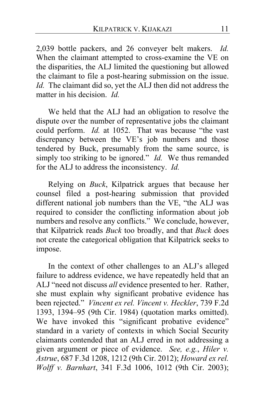2,039 bottle packers, and 26 conveyer belt makers. *Id.* When the claimant attempted to cross-examine the VE on the disparities, the ALJ limited the questioning but allowed the claimant to file a post-hearing submission on the issue. *Id.* The claimant did so, yet the ALJ then did not address the matter in his decision. *Id.*

We held that the ALJ had an obligation to resolve the dispute over the number of representative jobs the claimant could perform. *Id.* at 1052. That was because "the vast discrepancy between the VE's job numbers and those tendered by Buck, presumably from the same source, is simply too striking to be ignored." *Id.* We thus remanded for the ALJ to address the inconsistency. *Id.*

Relying on *Buck*, Kilpatrick argues that because her counsel filed a post-hearing submission that provided different national job numbers than the VE, "the ALJ was required to consider the conflicting information about job numbers and resolve any conflicts." We conclude, however, that Kilpatrick reads *Buck* too broadly, and that *Buck* does not create the categorical obligation that Kilpatrick seeks to impose.

In the context of other challenges to an ALJ's alleged failure to address evidence, we have repeatedly held that an ALJ "need not discuss *all* evidence presented to her. Rather, she must explain why significant probative evidence has been rejected." *Vincent ex rel. Vincent v. Heckler*, 739 F.2d 1393, 1394–95 (9th Cir. 1984) (quotation marks omitted). We have invoked this "significant probative evidence" standard in a variety of contexts in which Social Security claimants contended that an ALJ erred in not addressing a given argument or piece of evidence. *See, e.g.*, *Hiler v. Astrue*, 687 F.3d 1208, 1212 (9th Cir. 2012); *Howard ex rel. Wolff v. Barnhart*, 341 F.3d 1006, 1012 (9th Cir. 2003);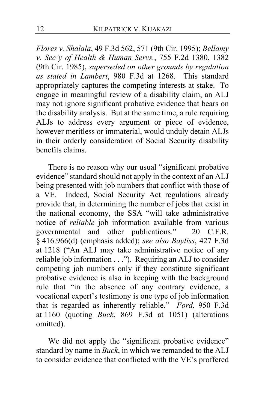*Flores v. Shalala*, 49 F.3d 562, 571 (9th Cir. 1995); *Bellamy v. Sec'y of Health & Human Servs.*, 755 F.2d 1380, 1382 (9th Cir. 1985), *superseded on other grounds by regulation as stated in Lambert*, 980 F.3d at 1268. This standard appropriately captures the competing interests at stake. To engage in meaningful review of a disability claim, an ALJ may not ignore significant probative evidence that bears on the disability analysis. But at the same time, a rule requiring ALJs to address every argument or piece of evidence, however meritless or immaterial, would unduly detain ALJs in their orderly consideration of Social Security disability benefits claims.

There is no reason why our usual "significant probative evidence" standard should not apply in the context of an ALJ being presented with job numbers that conflict with those of a VE. Indeed, Social Security Act regulations already provide that, in determining the number of jobs that exist in the national economy, the SSA "will take administrative notice of *reliable* job information available from various governmental and other publications." 20 C.F.R. § 416.966(d) (emphasis added); *see also Bayliss*, 427 F.3d at 1218 ("An ALJ may take administrative notice of any reliable job information . . ."). Requiring an ALJ to consider competing job numbers only if they constitute significant probative evidence is also in keeping with the background rule that "in the absence of any contrary evidence, a vocational expert's testimony is one type of job information that is regarded as inherently reliable." *Ford*, 950 F.3d at 1160 (quoting *Buck*, 869 F.3d at 1051) (alterations omitted).

We did not apply the "significant probative evidence" standard by name in *Buck*, in which we remanded to the ALJ to consider evidence that conflicted with the VE's proffered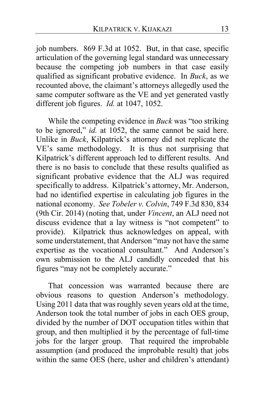job numbers. 869 F.3d at 1052. But, in that case, specific articulation of the governing legal standard was unnecessary because the competing job numbers in that case easily qualified as significant probative evidence. In *Buck*, as we recounted above, the claimant's attorneys allegedly used the same computer software as the VE and yet generated vastly different job figures. *Id.* at 1047, 1052.

While the competing evidence in *Buck* was "too striking to be ignored," *id.* at 1052, the same cannot be said here. Unlike in *Buck*, Kilpatrick's attorney did not replicate the VE's same methodology. It is thus not surprising that Kilpatrick's different approach led to different results. And there is no basis to conclude that these results qualified as significant probative evidence that the ALJ was required specifically to address. Kilpatrick's attorney, Mr. Anderson, had no identified expertise in calculating job figures in the national economy. *See Tobeler v. Colvin*, 749 F.3d 830, 834 (9th Cir. 2014) (noting that, under *Vincent*, an ALJ need not discuss evidence that a lay witness is "not competent" to provide). Kilpatrick thus acknowledges on appeal, with some understatement, that Anderson "may not have the same expertise as the vocational consultant." And Anderson's own submission to the ALJ candidly conceded that his figures "may not be completely accurate."

That concession was warranted because there are obvious reasons to question Anderson's methodology. Using 2011 data that was roughly seven years old at the time, Anderson took the total number of jobs in each OES group, divided by the number of DOT occupation titles within that group, and then multiplied it by the percentage of full-time jobs for the larger group. That required the improbable assumption (and produced the improbable result) that jobs within the same OES (here, usher and children's attendant)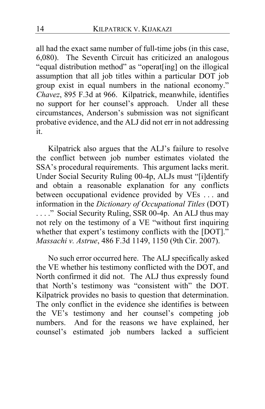all had the exact same number of full-time jobs (in this case, 6,080). The Seventh Circuit has criticized an analogous "equal distribution method" as "operat[ing] on the illogical assumption that all job titles within a particular DOT job group exist in equal numbers in the national economy." *Chavez*, 895 F.3d at 966. Kilpatrick, meanwhile, identifies no support for her counsel's approach. Under all these circumstances, Anderson's submission was not significant probative evidence, and the ALJ did not err in not addressing it.

Kilpatrick also argues that the ALJ's failure to resolve the conflict between job number estimates violated the SSA's procedural requirements. This argument lacks merit. Under Social Security Ruling 00-4p, ALJs must "[i]dentify and obtain a reasonable explanation for any conflicts between occupational evidence provided by VEs . . . and information in the *Dictionary of Occupational Titles* (DOT) ...." Social Security Ruling, SSR 00-4p. An ALJ thus may not rely on the testimony of a VE "without first inquiring whether that expert's testimony conflicts with the [DOT]." *Massachi v. Astrue*, 486 F.3d 1149, 1150 (9th Cir. 2007).

No such error occurred here. The ALJ specifically asked the VE whether his testimony conflicted with the DOT, and North confirmed it did not. The ALJ thus expressly found that North's testimony was "consistent with" the DOT. Kilpatrick provides no basis to question that determination. The only conflict in the evidence she identifies is between the VE's testimony and her counsel's competing job numbers. And for the reasons we have explained, her counsel's estimated job numbers lacked a sufficient